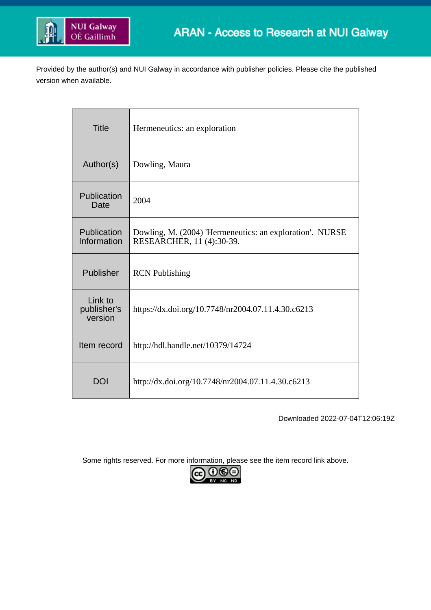

Provided by the author(s) and NUI Galway in accordance with publisher policies. Please cite the published version when available.

| <b>Title</b>                      | Hermeneutics: an exploration                                                          |  |  |
|-----------------------------------|---------------------------------------------------------------------------------------|--|--|
| Author(s)                         | Dowling, Maura                                                                        |  |  |
| Publication<br>Date               | 2004                                                                                  |  |  |
| Publication<br>Information        | Dowling, M. (2004) 'Hermeneutics: an exploration'. NURSE<br>RESEARCHER, 11 (4):30-39. |  |  |
| Publisher                         | <b>RCN</b> Publishing                                                                 |  |  |
| Link to<br>publisher's<br>version | https://dx.doi.org/10.7748/nr2004.07.11.4.30.c6213                                    |  |  |
| Item record                       | http://hdl.handle.net/10379/14724                                                     |  |  |
| <b>DOI</b>                        | http://dx.doi.org/10.7748/nr2004.07.11.4.30.c6213                                     |  |  |

Downloaded 2022-07-04T12:06:19Z

Some rights reserved. For more information, please see the item record link above.

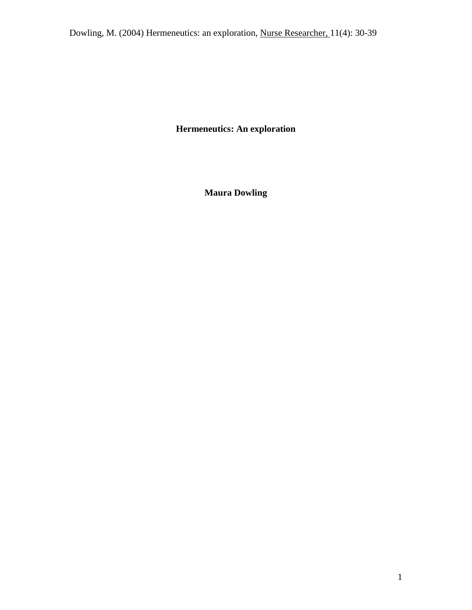**Hermeneutics: An exploration**

**Maura Dowling**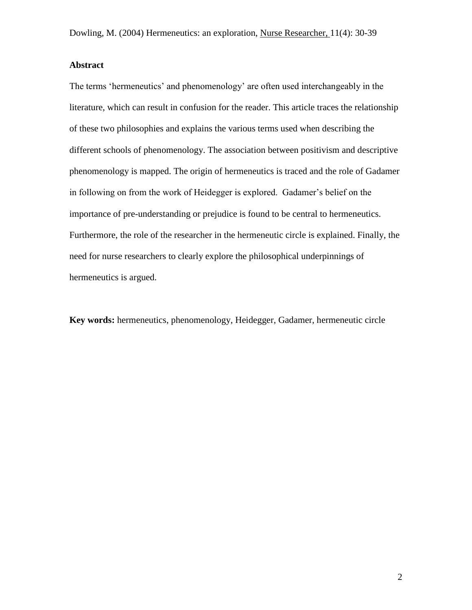## **Abstract**

The terms 'hermeneutics' and phenomenology' are often used interchangeably in the literature, which can result in confusion for the reader. This article traces the relationship of these two philosophies and explains the various terms used when describing the different schools of phenomenology. The association between positivism and descriptive phenomenology is mapped. The origin of hermeneutics is traced and the role of Gadamer in following on from the work of Heidegger is explored. Gadamer's belief on the importance of pre-understanding or prejudice is found to be central to hermeneutics. Furthermore, the role of the researcher in the hermeneutic circle is explained. Finally, the need for nurse researchers to clearly explore the philosophical underpinnings of hermeneutics is argued.

**Key words:** hermeneutics, phenomenology, Heidegger, Gadamer, hermeneutic circle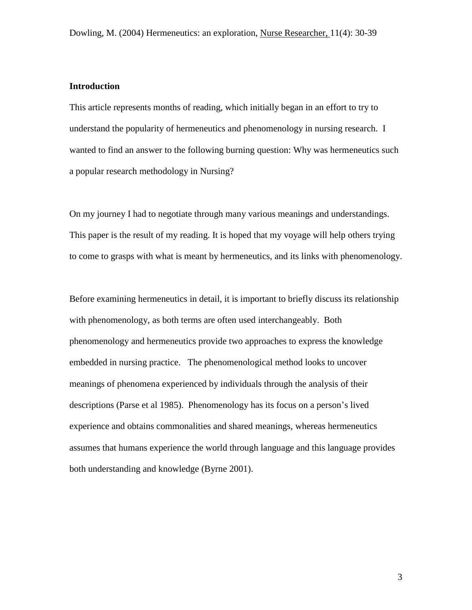## **Introduction**

This article represents months of reading, which initially began in an effort to try to understand the popularity of hermeneutics and phenomenology in nursing research. I wanted to find an answer to the following burning question: Why was hermeneutics such a popular research methodology in Nursing?

On my journey I had to negotiate through many various meanings and understandings. This paper is the result of my reading. It is hoped that my voyage will help others trying to come to grasps with what is meant by hermeneutics, and its links with phenomenology.

Before examining hermeneutics in detail, it is important to briefly discuss its relationship with phenomenology, as both terms are often used interchangeably. Both phenomenology and hermeneutics provide two approaches to express the knowledge embedded in nursing practice. The phenomenological method looks to uncover meanings of phenomena experienced by individuals through the analysis of their descriptions (Parse et al 1985). Phenomenology has its focus on a person's lived experience and obtains commonalities and shared meanings, whereas hermeneutics assumes that humans experience the world through language and this language provides both understanding and knowledge (Byrne 2001).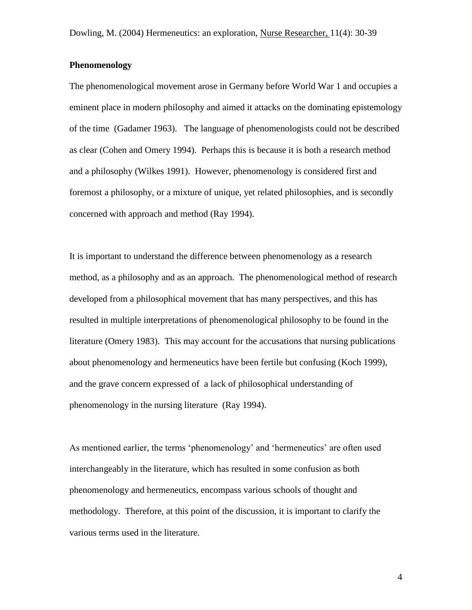#### **Phenomenology**

The phenomenological movement arose in Germany before World War 1 and occupies a eminent place in modern philosophy and aimed it attacks on the dominating epistemology of the time (Gadamer 1963). The language of phenomenologists could not be described as clear (Cohen and Omery 1994). Perhaps this is because it is both a research method and a philosophy (Wilkes 1991). However, phenomenology is considered first and foremost a philosophy, or a mixture of unique, yet related philosophies, and is secondly concerned with approach and method (Ray 1994).

It is important to understand the difference between phenomenology as a research method, as a philosophy and as an approach. The phenomenological method of research developed from a philosophical movement that has many perspectives, and this has resulted in multiple interpretations of phenomenological philosophy to be found in the literature (Omery 1983). This may account for the accusations that nursing publications about phenomenology and hermeneutics have been fertile but confusing (Koch 1999), and the grave concern expressed of a lack of philosophical understanding of phenomenology in the nursing literature (Ray 1994).

As mentioned earlier, the terms 'phenomenology' and 'hermeneutics' are often used interchangeably in the literature, which has resulted in some confusion as both phenomenology and hermeneutics, encompass various schools of thought and methodology. Therefore, at this point of the discussion, it is important to clarify the various terms used in the literature.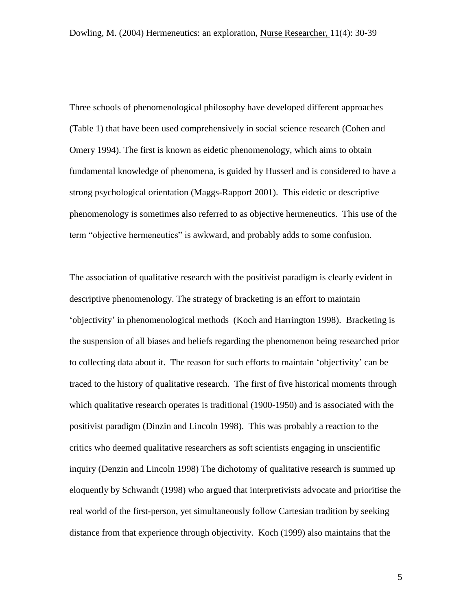Three schools of phenomenological philosophy have developed different approaches (Table 1) that have been used comprehensively in social science research (Cohen and Omery 1994). The first is known as eidetic phenomenology, which aims to obtain fundamental knowledge of phenomena, is guided by Husserl and is considered to have a strong psychological orientation (Maggs-Rapport 2001). This eidetic or descriptive phenomenology is sometimes also referred to as objective hermeneutics. This use of the term "objective hermeneutics" is awkward, and probably adds to some confusion.

The association of qualitative research with the positivist paradigm is clearly evident in descriptive phenomenology. The strategy of bracketing is an effort to maintain 'objectivity' in phenomenological methods (Koch and Harrington 1998). Bracketing is the suspension of all biases and beliefs regarding the phenomenon being researched prior to collecting data about it. The reason for such efforts to maintain 'objectivity' can be traced to the history of qualitative research. The first of five historical moments through which qualitative research operates is traditional (1900-1950) and is associated with the positivist paradigm (Dinzin and Lincoln 1998). This was probably a reaction to the critics who deemed qualitative researchers as soft scientists engaging in unscientific inquiry (Denzin and Lincoln 1998) The dichotomy of qualitative research is summed up eloquently by Schwandt (1998) who argued that interpretivists advocate and prioritise the real world of the first-person, yet simultaneously follow Cartesian tradition by seeking distance from that experience through objectivity. Koch (1999) also maintains that the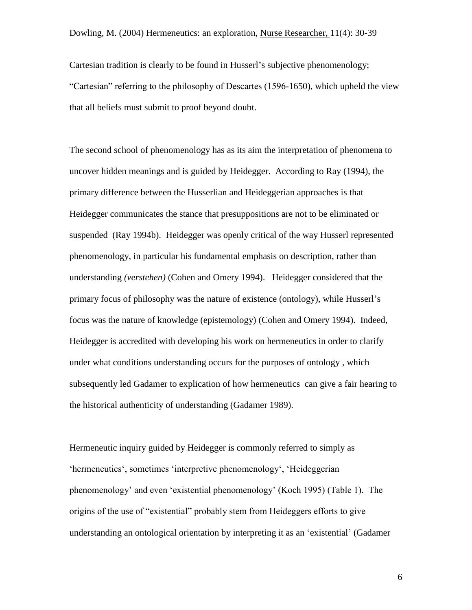Cartesian tradition is clearly to be found in Husserl's subjective phenomenology; "Cartesian" referring to the philosophy of Descartes (1596-1650), which upheld the view that all beliefs must submit to proof beyond doubt.

The second school of phenomenology has as its aim the interpretation of phenomena to uncover hidden meanings and is guided by Heidegger. According to Ray (1994), the primary difference between the Husserlian and Heideggerian approaches is that Heidegger communicates the stance that presuppositions are not to be eliminated or suspended (Ray 1994b). Heidegger was openly critical of the way Husserl represented phenomenology, in particular his fundamental emphasis on description, rather than understanding *(verstehen)* (Cohen and Omery 1994). Heidegger considered that the primary focus of philosophy was the nature of existence (ontology), while Husserl's focus was the nature of knowledge (epistemology) (Cohen and Omery 1994). Indeed, Heidegger is accredited with developing his work on hermeneutics in order to clarify under what conditions understanding occurs for the purposes of ontology , which subsequently led Gadamer to explication of how hermeneutics can give a fair hearing to the historical authenticity of understanding (Gadamer 1989).

Hermeneutic inquiry guided by Heidegger is commonly referred to simply as 'hermeneutics', sometimes 'interpretive phenomenology', 'Heideggerian phenomenology' and even 'existential phenomenology' (Koch 1995) (Table 1). The origins of the use of "existential" probably stem from Heideggers efforts to give understanding an ontological orientation by interpreting it as an 'existential' (Gadamer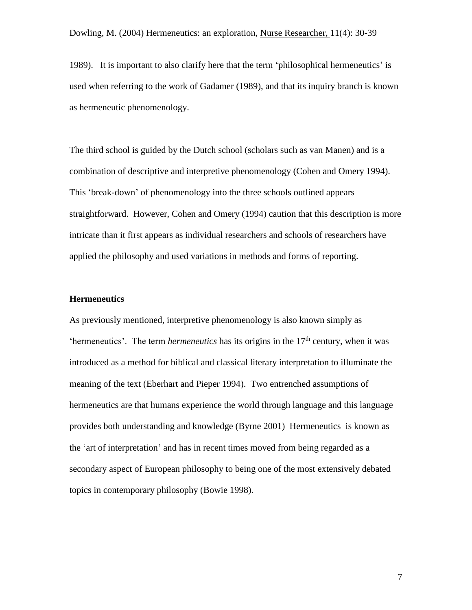1989). It is important to also clarify here that the term 'philosophical hermeneutics' is used when referring to the work of Gadamer (1989), and that its inquiry branch is known as hermeneutic phenomenology.

The third school is guided by the Dutch school (scholars such as van Manen) and is a combination of descriptive and interpretive phenomenology (Cohen and Omery 1994). This 'break-down' of phenomenology into the three schools outlined appears straightforward. However, Cohen and Omery (1994) caution that this description is more intricate than it first appears as individual researchers and schools of researchers have applied the philosophy and used variations in methods and forms of reporting.

#### **Hermeneutics**

As previously mentioned, interpretive phenomenology is also known simply as 'hermeneutics'. The term *hermeneutics* has its origins in the  $17<sup>th</sup>$  century, when it was introduced as a method for biblical and classical literary interpretation to illuminate the meaning of the text (Eberhart and Pieper 1994). Two entrenched assumptions of hermeneutics are that humans experience the world through language and this language provides both understanding and knowledge (Byrne 2001) Hermeneutics is known as the 'art of interpretation' and has in recent times moved from being regarded as a secondary aspect of European philosophy to being one of the most extensively debated topics in contemporary philosophy (Bowie 1998).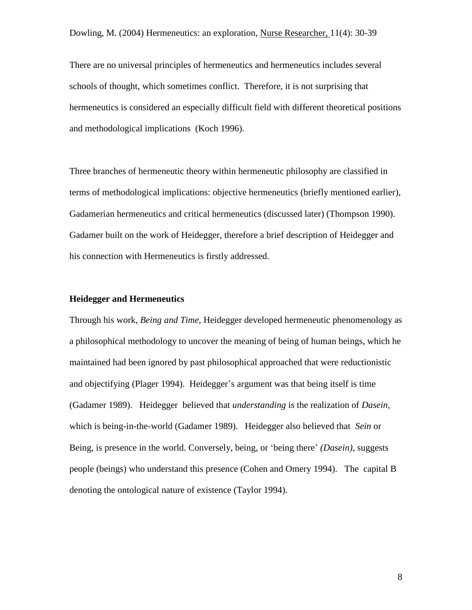There are no universal principles of hermeneutics and hermeneutics includes several schools of thought, which sometimes conflict. Therefore, it is not surprising that hermeneutics is considered an especially difficult field with different theoretical positions and methodological implications (Koch 1996).

Three branches of hermeneutic theory within hermeneutic philosophy are classified in terms of methodological implications: objective hermeneutics (briefly mentioned earlier), Gadamerian hermeneutics and critical hermeneutics (discussed later) (Thompson 1990). Gadamer built on the work of Heidegger, therefore a brief description of Heidegger and his connection with Hermeneutics is firstly addressed.

### **Heidegger and Hermeneutics**

Through his work, *Being and Time,* Heidegger developed hermeneutic phenomenology as a philosophical methodology to uncover the meaning of being of human beings, which he maintained had been ignored by past philosophical approached that were reductionistic and objectifying (Plager 1994). Heidegger's argument was that being itself is time (Gadamer 1989). Heidegger believed that *understanding* is the realization of *Dasein,*  which is being-in-the-world (Gadamer 1989). Heidegger also believed that *Sein* or Being, is presence in the world. Conversely, being, or 'being there' *(Dasein)*, suggests people (beings) who understand this presence (Cohen and Omery 1994). The capital B denoting the ontological nature of existence (Taylor 1994).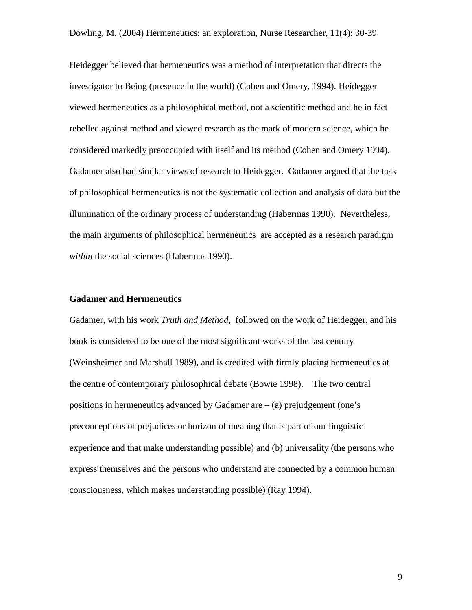Heidegger believed that hermeneutics was a method of interpretation that directs the investigator to Being (presence in the world) (Cohen and Omery, 1994). Heidegger viewed hermeneutics as a philosophical method, not a scientific method and he in fact rebelled against method and viewed research as the mark of modern science, which he considered markedly preoccupied with itself and its method (Cohen and Omery 1994). Gadamer also had similar views of research to Heidegger. Gadamer argued that the task of philosophical hermeneutics is not the systematic collection and analysis of data but the illumination of the ordinary process of understanding (Habermas 1990). Nevertheless, the main arguments of philosophical hermeneutics are accepted as a research paradigm *within* the social sciences (Habermas 1990).

#### **Gadamer and Hermeneutics**

Gadamer, with his work *Truth and Method,* followed on the work of Heidegger, and his book is considered to be one of the most significant works of the last century (Weinsheimer and Marshall 1989), and is credited with firmly placing hermeneutics at the centre of contemporary philosophical debate (Bowie 1998). The two central positions in hermeneutics advanced by Gadamer are  $-$  (a) prejudgement (one's preconceptions or prejudices or horizon of meaning that is part of our linguistic experience and that make understanding possible) and (b) universality (the persons who express themselves and the persons who understand are connected by a common human consciousness, which makes understanding possible) (Ray 1994).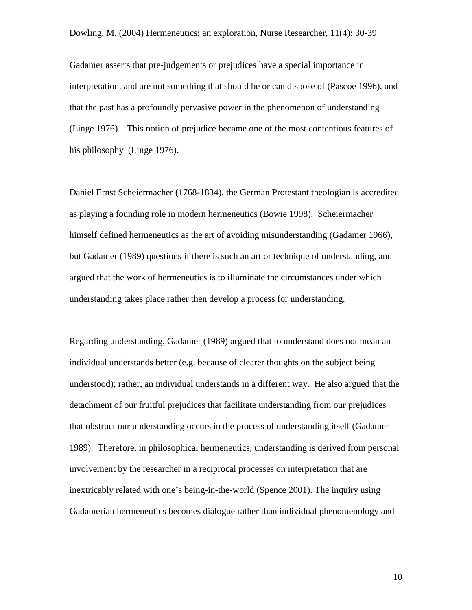Gadamer asserts that pre-judgements or prejudices have a special importance in interpretation, and are not something that should be or can dispose of (Pascoe 1996), and that the past has a profoundly pervasive power in the phenomenon of understanding (Linge 1976). This notion of prejudice became one of the most contentious features of his philosophy (Linge 1976).

Daniel Ernst Scheiermacher (1768-1834), the German Protestant theologian is accredited as playing a founding role in modern hermeneutics (Bowie 1998). Scheiermacher himself defined hermeneutics as the art of avoiding misunderstanding (Gadamer 1966), but Gadamer (1989) questions if there is such an art or technique of understanding, and argued that the work of hermeneutics is to illuminate the circumstances under which understanding takes place rather then develop a process for understanding.

Regarding understanding, Gadamer (1989) argued that to understand does not mean an individual understands better (e.g. because of clearer thoughts on the subject being understood); rather, an individual understands in a different way. He also argued that the detachment of our fruitful prejudices that facilitate understanding from our prejudices that obstruct our understanding occurs in the process of understanding itself (Gadamer 1989). Therefore, in philosophical hermeneutics, understanding is derived from personal involvement by the researcher in a reciprocal processes on interpretation that are inextricably related with one's being-in-the-world (Spence 2001). The inquiry using Gadamerian hermeneutics becomes dialogue rather than individual phenomenology and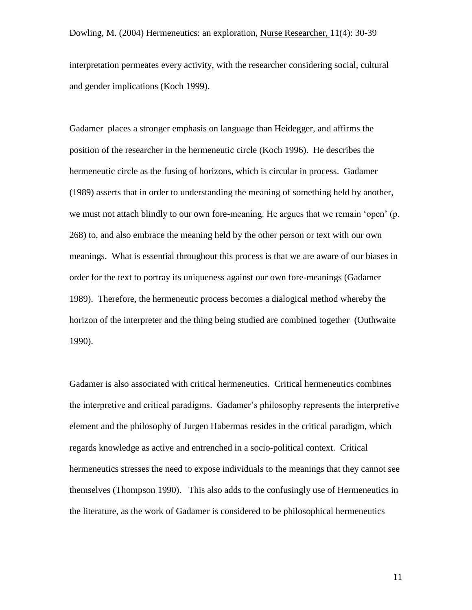interpretation permeates every activity, with the researcher considering social, cultural and gender implications (Koch 1999).

Gadamer places a stronger emphasis on language than Heidegger, and affirms the position of the researcher in the hermeneutic circle (Koch 1996). He describes the hermeneutic circle as the fusing of horizons, which is circular in process. Gadamer (1989) asserts that in order to understanding the meaning of something held by another, we must not attach blindly to our own fore-meaning. He argues that we remain 'open' (p. 268) to, and also embrace the meaning held by the other person or text with our own meanings. What is essential throughout this process is that we are aware of our biases in order for the text to portray its uniqueness against our own fore-meanings (Gadamer 1989). Therefore, the hermeneutic process becomes a dialogical method whereby the horizon of the interpreter and the thing being studied are combined together (Outhwaite 1990).

Gadamer is also associated with critical hermeneutics. Critical hermeneutics combines the interpretive and critical paradigms. Gadamer's philosophy represents the interpretive element and the philosophy of Jurgen Habermas resides in the critical paradigm, which regards knowledge as active and entrenched in a socio-political context. Critical hermeneutics stresses the need to expose individuals to the meanings that they cannot see themselves (Thompson 1990). This also adds to the confusingly use of Hermeneutics in the literature, as the work of Gadamer is considered to be philosophical hermeneutics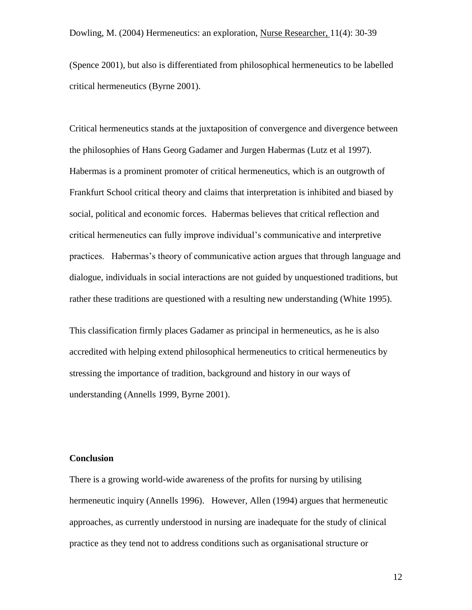(Spence 2001), but also is differentiated from philosophical hermeneutics to be labelled critical hermeneutics (Byrne 2001).

Critical hermeneutics stands at the juxtaposition of convergence and divergence between the philosophies of Hans Georg Gadamer and Jurgen Habermas (Lutz et al 1997). Habermas is a prominent promoter of critical hermeneutics, which is an outgrowth of Frankfurt School critical theory and claims that interpretation is inhibited and biased by social, political and economic forces. Habermas believes that critical reflection and critical hermeneutics can fully improve individual's communicative and interpretive practices. Habermas's theory of communicative action argues that through language and dialogue, individuals in social interactions are not guided by unquestioned traditions, but rather these traditions are questioned with a resulting new understanding (White 1995).

This classification firmly places Gadamer as principal in hermeneutics, as he is also accredited with helping extend philosophical hermeneutics to critical hermeneutics by stressing the importance of tradition, background and history in our ways of understanding (Annells 1999, Byrne 2001).

### **Conclusion**

There is a growing world-wide awareness of the profits for nursing by utilising hermeneutic inquiry (Annells 1996). However, Allen (1994) argues that hermeneutic approaches, as currently understood in nursing are inadequate for the study of clinical practice as they tend not to address conditions such as organisational structure or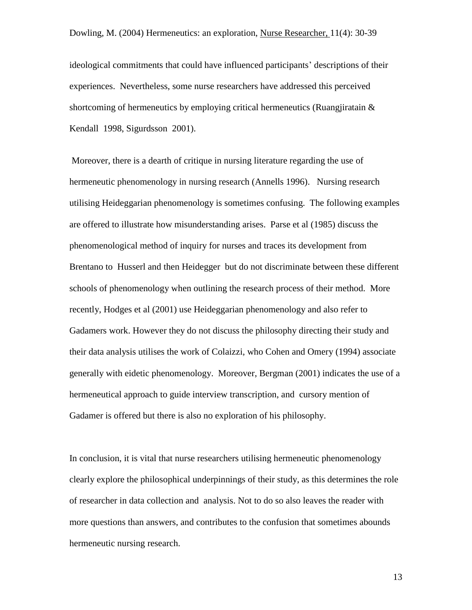ideological commitments that could have influenced participants' descriptions of their experiences. Nevertheless, some nurse researchers have addressed this perceived shortcoming of hermeneutics by employing critical hermeneutics (Ruangjiratain  $\&$ Kendall 1998, Sigurdsson 2001).

Moreover, there is a dearth of critique in nursing literature regarding the use of hermeneutic phenomenology in nursing research (Annells 1996). Nursing research utilising Heideggarian phenomenology is sometimes confusing. The following examples are offered to illustrate how misunderstanding arises. Parse et al (1985) discuss the phenomenological method of inquiry for nurses and traces its development from Brentano to Husserl and then Heidegger but do not discriminate between these different schools of phenomenology when outlining the research process of their method. More recently, Hodges et al (2001) use Heideggarian phenomenology and also refer to Gadamers work. However they do not discuss the philosophy directing their study and their data analysis utilises the work of Colaizzi, who Cohen and Omery (1994) associate generally with eidetic phenomenology. Moreover, Bergman (2001) indicates the use of a hermeneutical approach to guide interview transcription, and cursory mention of Gadamer is offered but there is also no exploration of his philosophy.

In conclusion, it is vital that nurse researchers utilising hermeneutic phenomenology clearly explore the philosophical underpinnings of their study, as this determines the role of researcher in data collection and analysis. Not to do so also leaves the reader with more questions than answers, and contributes to the confusion that sometimes abounds hermeneutic nursing research.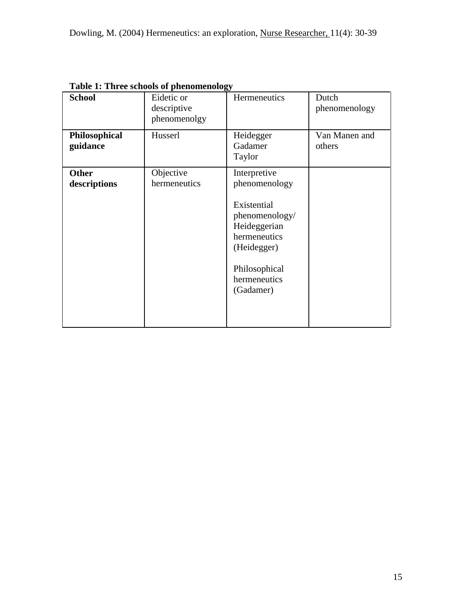| <b>School</b>                | Eidetic or<br>descriptive<br>phenomenolgy | Hermeneutics                                                                                                                                                | Dutch<br>phenomenology  |
|------------------------------|-------------------------------------------|-------------------------------------------------------------------------------------------------------------------------------------------------------------|-------------------------|
| Philosophical<br>guidance    | Husserl                                   | Heidegger<br>Gadamer<br>Taylor                                                                                                                              | Van Manen and<br>others |
| <b>Other</b><br>descriptions | Objective<br>hermeneutics                 | Interpretive<br>phenomenology<br>Existential<br>phenomenology/<br>Heideggerian<br>hermeneutics<br>(Heidegger)<br>Philosophical<br>hermeneutics<br>(Gadamer) |                         |

**Table 1: Three schools of phenomenology**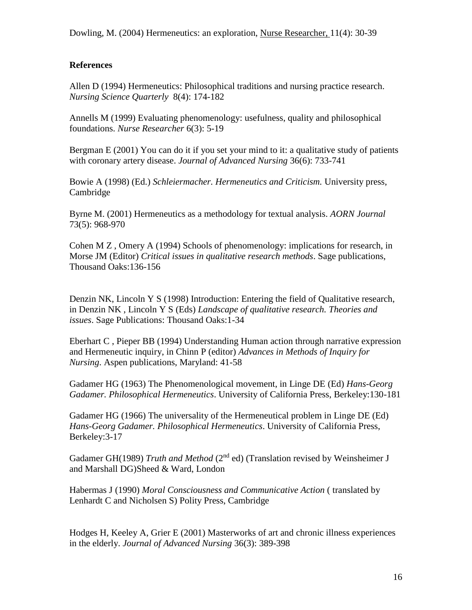# **References**

Allen D (1994) Hermeneutics: Philosophical traditions and nursing practice research. *Nursing Science Quarterly* 8(4): 174-182

Annells M (1999) Evaluating phenomenology: usefulness, quality and philosophical foundations. *Nurse Researcher* 6(3): 5-19

Bergman E (2001) You can do it if you set your mind to it: a qualitative study of patients with coronary artery disease. *Journal of Advanced Nursing* 36(6): 733-741

Bowie A (1998) (Ed.) *Schleiermacher. Hermeneutics and Criticism.* University press, Cambridge

Byrne M. (2001) Hermeneutics as a methodology for textual analysis. *AORN Journal* 73(5): 968-970

Cohen M Z , Omery A (1994) Schools of phenomenology: implications for research, in Morse JM (Editor) *Critical issues in qualitative research methods*. Sage publications, Thousand Oaks:136-156

Denzin NK, Lincoln Y S (1998) Introduction: Entering the field of Qualitative research, in Denzin NK , Lincoln Y S (Eds) *Landscape of qualitative research. Theories and issues*. Sage Publications: Thousand Oaks:1-34

Eberhart C , Pieper BB (1994) Understanding Human action through narrative expression and Hermeneutic inquiry, in Chinn P (editor) *Advances in Methods of Inquiry for Nursing*. Aspen publications, Maryland: 41-58

Gadamer HG (1963) The Phenomenological movement, in Linge DE (Ed) *Hans-Georg Gadamer. Philosophical Hermeneutics*. University of California Press, Berkeley:130-181

Gadamer HG (1966) The universality of the Hermeneutical problem in Linge DE (Ed) *Hans-Georg Gadamer. Philosophical Hermeneutics*. University of California Press, Berkeley:3-17

Gadamer GH(1989) *Truth and Method* (2<sup>nd</sup> ed) (Translation revised by Weinsheimer J and Marshall DG)Sheed & Ward, London

Habermas J (1990) *Moral Consciousness and Communicative Action* ( translated by Lenhardt C and Nicholsen S) Polity Press, Cambridge

Hodges H, Keeley A, Grier E (2001) Masterworks of art and chronic illness experiences in the elderly. *Journal of Advanced Nursing* 36(3): 389-398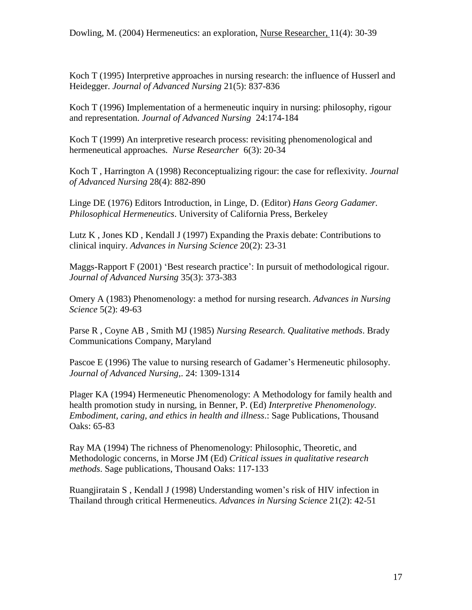Koch T (1995) Interpretive approaches in nursing research: the influence of Husserl and Heidegger. *Journal of Advanced Nursing* 21(5): 837-836

Koch T (1996) Implementation of a hermeneutic inquiry in nursing: philosophy, rigour and representation. *Journal of Advanced Nursing* 24:174-184

Koch T (1999) An interpretive research process: revisiting phenomenological and hermeneutical approaches*. Nurse Researcher* 6(3): 20-34

Koch T , Harrington A (1998) Reconceptualizing rigour: the case for reflexivity. *Journal of Advanced Nursing* 28(4): 882-890

Linge DE (1976) Editors Introduction, in Linge, D. (Editor) *Hans Georg Gadamer. Philosophical Hermeneutics*. University of California Press, Berkeley

Lutz K , Jones KD , Kendall J (1997) Expanding the Praxis debate: Contributions to clinical inquiry. *Advances in Nursing Science* 20(2): 23-31

Maggs-Rapport F (2001) 'Best research practice': In pursuit of methodological rigour. *Journal of Advanced Nursing* 35(3): 373-383

Omery A (1983) Phenomenology: a method for nursing research. *Advances in Nursing Science* 5(2): 49-63

Parse R , Coyne AB , Smith MJ (1985) *Nursing Research. Qualitative methods*. Brady Communications Company, Maryland

Pascoe E (1996) The value to nursing research of Gadamer's Hermeneutic philosophy. *Journal of Advanced Nursing*,. 24: 1309-1314

Plager KA (1994) Hermeneutic Phenomenology: A Methodology for family health and health promotion study in nursing, in Benner, P. (Ed) *Interpretive Phenomenology. Embodiment, caring, and ethics in health and illness*.: Sage Publications, Thousand Oaks: 65-83

Ray MA (1994) The richness of Phenomenology: Philosophic, Theoretic, and Methodologic concerns, in Morse JM (Ed) *Critical issues in qualitative research methods*. Sage publications, Thousand Oaks: 117-133

Ruangjiratain S , Kendall J (1998) Understanding women's risk of HIV infection in Thailand through critical Hermeneutics. *Advances in Nursing Science* 21(2): 42-51